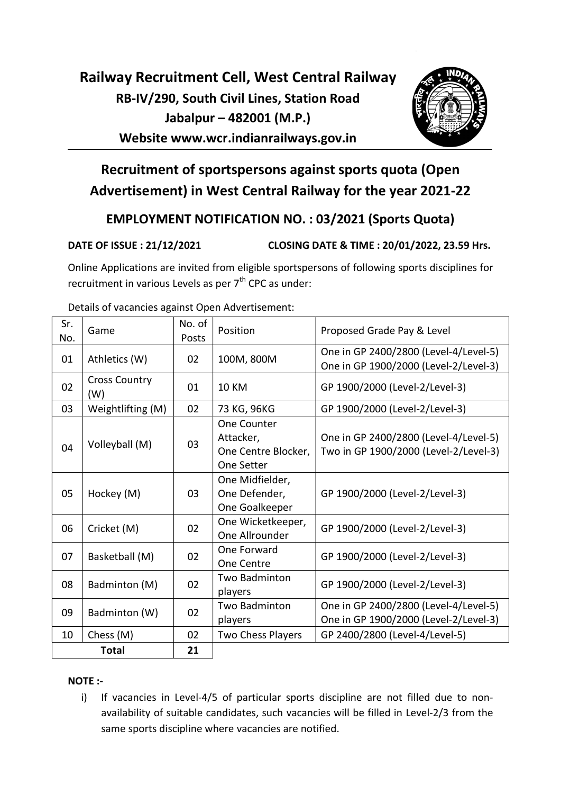# Railway Recruitment Cell, West Central Railway RB-IV/290, South Civil Lines, Station Road Jabalpur – 482001 (M.P.) Website www.wcr.indianrailways.gov.in



# Recruitment of sportspersons against sports quota (Open Advertisement) in West Central Railway for the year 2021-22

## EMPLOYMENT NOTIFICATION NO. : 03/2021 (Sports Quota)

DATE OF ISSUE : 21/12/2021 CLOSING DATE & TIME : 20/01/2022, 23.59 Hrs.

Online Applications are invited from eligible sportspersons of following sports disciplines for recruitment in various Levels as per  $7<sup>th</sup>$  CPC as under:

| Sr.<br>No.   | Game                        | No. of<br>Posts | Position                 | Proposed Grade Pay & Level                                                     |
|--------------|-----------------------------|-----------------|--------------------------|--------------------------------------------------------------------------------|
| 01           | Athletics (W)               | 02              | 100M, 800M               | One in GP 2400/2800 (Level-4/Level-5)<br>One in GP 1900/2000 (Level-2/Level-3) |
| 02           | <b>Cross Country</b><br>(W) | 01              | <b>10 KM</b>             | GP 1900/2000 (Level-2/Level-3)                                                 |
| 03           | Weightlifting (M)           | 02              | 73 KG, 96KG              | GP 1900/2000 (Level-2/Level-3)                                                 |
|              |                             |                 | <b>One Counter</b>       |                                                                                |
|              | Volleyball (M)              | 03              | Attacker,                | One in GP 2400/2800 (Level-4/Level-5)                                          |
| 04           |                             |                 | One Centre Blocker,      | Two in GP 1900/2000 (Level-2/Level-3)                                          |
|              |                             |                 | One Setter               |                                                                                |
|              |                             |                 | One Midfielder,          |                                                                                |
| 05           | Hockey (M)                  | 03              | One Defender,            | GP 1900/2000 (Level-2/Level-3)                                                 |
|              |                             |                 | One Goalkeeper           |                                                                                |
| 06           | Cricket (M)                 | 02              | One Wicketkeeper,        | GP 1900/2000 (Level-2/Level-3)                                                 |
|              |                             |                 | One Allrounder           |                                                                                |
| 07           | Basketball (M)              | 02              | One Forward              | GP 1900/2000 (Level-2/Level-3)                                                 |
|              |                             |                 | <b>One Centre</b>        |                                                                                |
| 08           | Badminton (M)               | 02              | <b>Two Badminton</b>     | GP 1900/2000 (Level-2/Level-3)                                                 |
|              |                             |                 | players                  |                                                                                |
| 09           | Badminton (W)               | 02              | Two Badminton            | One in GP 2400/2800 (Level-4/Level-5)                                          |
|              |                             |                 | players                  | One in GP 1900/2000 (Level-2/Level-3)                                          |
| 10           | Chess (M)                   | 02              | <b>Two Chess Players</b> | GP 2400/2800 (Level-4/Level-5)                                                 |
| <b>Total</b> |                             | 21              |                          |                                                                                |

Details of vacancies against Open Advertisement:

#### NOTE :-

i) If vacancies in Level-4/5 of particular sports discipline are not filled due to nonavailability of suitable candidates, such vacancies will be filled in Level-2/3 from the same sports discipline where vacancies are notified.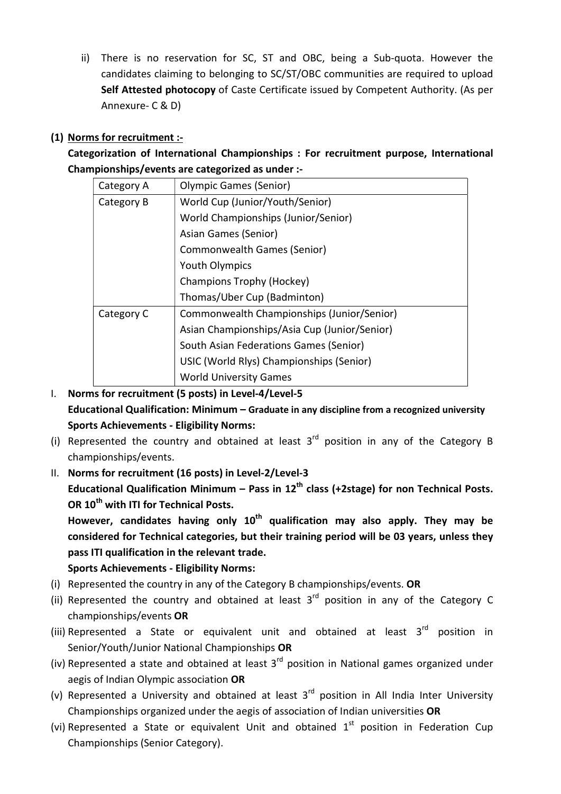ii) There is no reservation for SC, ST and OBC, being a Sub-quota. However the candidates claiming to belonging to SC/ST/OBC communities are required to upload Self Attested photocopy of Caste Certificate issued by Competent Authority. (As per Annexure- C & D)

#### (1) Norms for recruitment :-

Categorization of International Championships : For recruitment purpose, International Championships/events are categorized as under :-

| Category A | <b>Olympic Games (Senior)</b>                |
|------------|----------------------------------------------|
| Category B | World Cup (Junior/Youth/Senior)              |
|            | World Championships (Junior/Senior)          |
|            | Asian Games (Senior)                         |
|            | Commonwealth Games (Senior)                  |
|            | <b>Youth Olympics</b>                        |
|            | Champions Trophy (Hockey)                    |
|            | Thomas/Uber Cup (Badminton)                  |
| Category C | Commonwealth Championships (Junior/Senior)   |
|            | Asian Championships/Asia Cup (Junior/Senior) |
|            | South Asian Federations Games (Senior)       |
|            | USIC (World Rlys) Championships (Senior)     |
|            | <b>World University Games</b>                |

I. Norms for recruitment (5 posts) in Level-4/Level-5 Educational Qualification: Minimum – Graduate in any discipline from a recognized university Sports Achievements - Eligibility Norms:

- (i) Represented the country and obtained at least  $3<sup>rd</sup>$  position in any of the Category B championships/events.
- II. Norms for recruitment (16 posts) in Level-2/Level-3

Educational Qualification Minimum – Pass in  $12<sup>th</sup>$  class (+2stage) for non Technical Posts. OR 10<sup>th</sup> with ITI for Technical Posts.

However, candidates having only  $10<sup>th</sup>$  qualification may also apply. They may be considered for Technical categories, but their training period will be 03 years, unless they pass ITI qualification in the relevant trade.

### Sports Achievements - Eligibility Norms:

- (i) Represented the country in any of the Category B championships/events. OR
- (ii) Represented the country and obtained at least  $3<sup>rd</sup>$  position in any of the Category C championships/events OR
- (iii) Represented a State or equivalent unit and obtained at least  $3^{rd}$  position in Senior/Youth/Junior National Championships OR
- (iv) Represented a state and obtained at least  $3<sup>rd</sup>$  position in National games organized under aegis of Indian Olympic association OR
- (v) Represented a University and obtained at least  $3<sup>rd</sup>$  position in All India Inter University Championships organized under the aegis of association of Indian universities OR
- (vi) Represented a State or equivalent Unit and obtained  $1<sup>st</sup>$  position in Federation Cup Championships (Senior Category).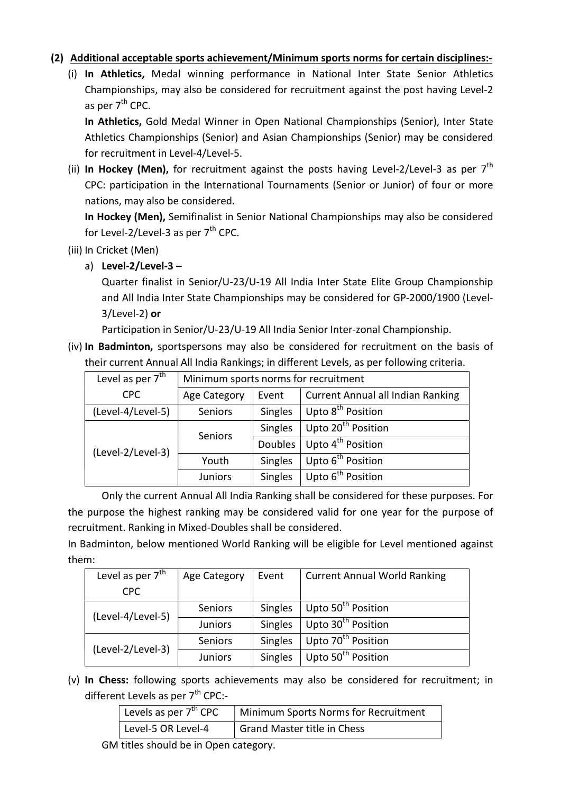#### (2) Additional acceptable sports achievement/Minimum sports norms for certain disciplines:-

(i) In Athletics, Medal winning performance in National Inter State Senior Athletics Championships, may also be considered for recruitment against the post having Level-2 as per  $7<sup>th</sup>$  CPC.

In Athletics, Gold Medal Winner in Open National Championships (Senior), Inter State Athletics Championships (Senior) and Asian Championships (Senior) may be considered for recruitment in Level-4/Level-5.

(ii) In Hockey (Men), for recruitment against the posts having Level-2/Level-3 as per  $7<sup>th</sup>$ CPC: participation in the International Tournaments (Senior or Junior) of four or more nations, may also be considered.

In Hockey (Men), Semifinalist in Senior National Championships may also be considered for Level-2/Level-3 as per  $7<sup>th</sup>$  CPC.

- (iii) In Cricket (Men)
	- a) Level- $2$ /Level- $3 -$

Quarter finalist in Senior/U-23/U-19 All India Inter State Elite Group Championship and All India Inter State Championships may be considered for GP-2000/1900 (Level-3/Level-2) or

Participation in Senior/U-23/U-19 All India Senior Inter-zonal Championship.

(iv) In Badminton, sportspersons may also be considered for recruitment on the basis of their current Annual All India Rankings; in different Levels, as per following criteria.

| Level as per $7th$ |                | Minimum sports norms for recruitment |                                          |  |  |  |  |
|--------------------|----------------|--------------------------------------|------------------------------------------|--|--|--|--|
| <b>CPC</b>         | Age Category   | Event                                | <b>Current Annual all Indian Ranking</b> |  |  |  |  |
| (Level-4/Level-5)  | Seniors        | Singles                              | Upto 8 <sup>th</sup> Position            |  |  |  |  |
|                    | Seniors        | Singles                              | Upto 20 <sup>th</sup> Position           |  |  |  |  |
| (Level-2/Level-3)  |                | Doubles                              | Upto 4 <sup>th</sup> Position            |  |  |  |  |
|                    | Youth          | Singles                              | Upto 6 <sup>th</sup> Position            |  |  |  |  |
|                    | <b>Juniors</b> | Singles                              | Upto 6 <sup>th</sup> Position            |  |  |  |  |

 Only the current Annual All India Ranking shall be considered for these purposes. For the purpose the highest ranking may be considered valid for one year for the purpose of recruitment. Ranking in Mixed-Doubles shall be considered.

In Badminton, below mentioned World Ranking will be eligible for Level mentioned against them:

| Level as per $7th$ | Age Category   | Event          | <b>Current Annual World Ranking</b> |  |  |
|--------------------|----------------|----------------|-------------------------------------|--|--|
| CPC                |                |                |                                     |  |  |
| (Level-4/Level-5)  | Seniors        | Singles        | Upto 50 <sup>th</sup> Position      |  |  |
|                    | <b>Juniors</b> | Singles        | Upto 30 <sup>th</sup> Position      |  |  |
| (Level-2/Level-3)  | <b>Seniors</b> | Singles        | Upto 70 <sup>th</sup> Position      |  |  |
|                    | <b>Juniors</b> | <b>Singles</b> | Upto 50 <sup>th</sup> Position      |  |  |

(v) In Chess: following sports achievements may also be considered for recruitment; in different Levels as per  $7<sup>th</sup>$  CPC:-

| Levels as per $7^{\text{th}}$ CPC | Minimum Sports Norms for Recruitment |
|-----------------------------------|--------------------------------------|
| Level-5 OR Level-4                | Grand Master title in Chess          |

GM titles should be in Open category.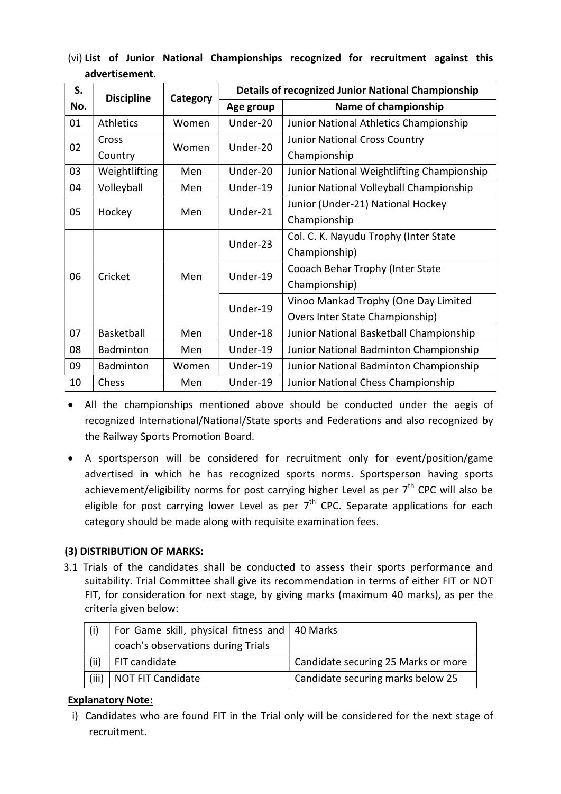|  |                | (vi) List of Junior National Championships recognized for recruitment against this |  |  |  |
|--|----------------|------------------------------------------------------------------------------------|--|--|--|
|  | advertisement. |                                                                                    |  |  |  |

| S.           | <b>Discipline</b> |          |           | <b>Details of recognized Junior National Championship</b> |  |  |
|--------------|-------------------|----------|-----------|-----------------------------------------------------------|--|--|
| No.          |                   | Category | Age group | Name of championship                                      |  |  |
| 01           | <b>Athletics</b>  | Women    | Under-20  | Junior National Athletics Championship                    |  |  |
| 02           | Cross             | Women    | Under-20  | <b>Junior National Cross Country</b>                      |  |  |
|              | Country           |          |           | Championship                                              |  |  |
| 03           | Weightlifting     | Men      | Under-20  | Junior National Weightlifting Championship                |  |  |
| 04           | Volleyball        | Men      | Under-19  | Junior National Volleyball Championship                   |  |  |
| 05<br>Hockey |                   | Men      | Under-21  | Junior (Under-21) National Hockey                         |  |  |
|              |                   |          |           | Championship                                              |  |  |
|              |                   | Men      | Under-23  | Col. C. K. Nayudu Trophy (Inter State                     |  |  |
|              | Cricket           |          |           | Championship)                                             |  |  |
| 06           |                   |          | Under-19  | Cooach Behar Trophy (Inter State                          |  |  |
|              |                   |          |           | Championship)                                             |  |  |
|              |                   |          | Under-19  | Vinoo Mankad Trophy (One Day Limited                      |  |  |
|              |                   |          |           | Overs Inter State Championship)                           |  |  |
| 07           | Basketball        | Men      | Under-18  | Junior National Basketball Championship                   |  |  |
| 08           | <b>Badminton</b>  | Men      | Under-19  | Junior National Badminton Championship                    |  |  |
| 09           | Badminton         | Women    | Under-19  | Junior National Badminton Championship                    |  |  |
| 10           | Chess             | Men      | Under-19  | Junior National Chess Championship                        |  |  |

 All the championships mentioned above should be conducted under the aegis of recognized International/National/State sports and Federations and also recognized by the Railway Sports Promotion Board.

 A sportsperson will be considered for recruitment only for event/position/game advertised in which he has recognized sports norms. Sportsperson having sports achievement/eligibility norms for post carrying higher Level as per  $7<sup>th</sup>$  CPC will also be eligible for post carrying lower Level as per  $7<sup>th</sup>$  CPC. Separate applications for each category should be made along with requisite examination fees.

#### (3) DISTRIBUTION OF MARKS:

3.1 Trials of the candidates shall be conducted to assess their sports performance and suitability. Trial Committee shall give its recommendation in terms of either FIT or NOT FIT, for consideration for next stage, by giving marks (maximum 40 marks), as per the criteria given below:

|       | For Game skill, physical fitness and   40 Marks |                                     |
|-------|-------------------------------------------------|-------------------------------------|
|       | coach's observations during Trials              |                                     |
| (ii)  | FIT candidate                                   | Candidate securing 25 Marks or more |
| (iii) | NOT FIT Candidate                               | Candidate securing marks below 25   |

#### Explanatory Note:

i) Candidates who are found FIT in the Trial only will be considered for the next stage of recruitment.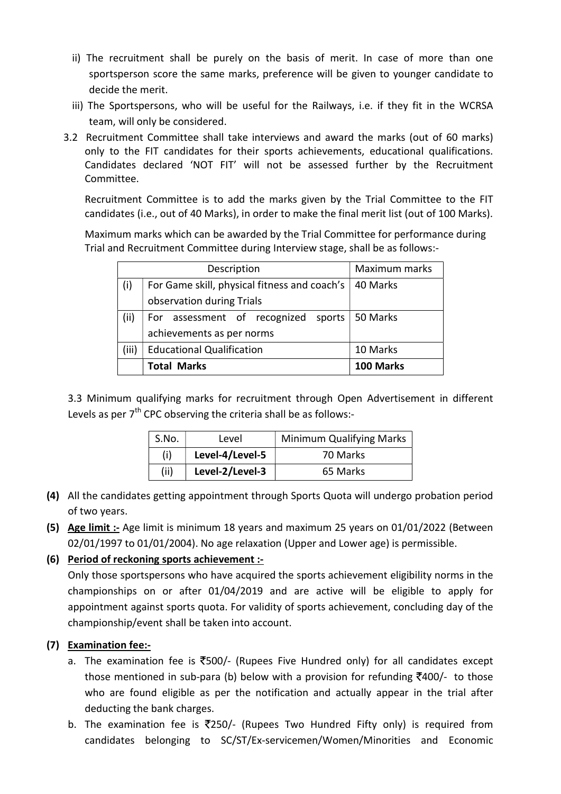- ii) The recruitment shall be purely on the basis of merit. In case of more than one sportsperson score the same marks, preference will be given to younger candidate to decide the merit.
- iii) The Sportspersons, who will be useful for the Railways, i.e. if they fit in the WCRSA team, will only be considered.
- 3.2 Recruitment Committee shall take interviews and award the marks (out of 60 marks) only to the FIT candidates for their sports achievements, educational qualifications. Candidates declared 'NOT FIT' will not be assessed further by the Recruitment Committee.

Recruitment Committee is to add the marks given by the Trial Committee to the FIT candidates (i.e., out of 40 Marks), in order to make the final merit list (out of 100 Marks).

Maximum marks which can be awarded by the Trial Committee for performance during Trial and Recruitment Committee during Interview stage, shall be as follows:-

|       | Description                                    | Maximum marks |  |  |
|-------|------------------------------------------------|---------------|--|--|
| (i)   | For Game skill, physical fitness and coach's   | 40 Marks      |  |  |
|       | observation during Trials                      |               |  |  |
| (ii)  | For assessment of recognized sports   50 Marks |               |  |  |
|       | achievements as per norms                      |               |  |  |
| (iii) | <b>Educational Qualification</b>               | 10 Marks      |  |  |
|       | <b>Total Marks</b>                             | 100 Marks     |  |  |

3.3 Minimum qualifying marks for recruitment through Open Advertisement in different Levels as per  $7<sup>th</sup>$  CPC observing the criteria shall be as follows:-

| S.No. | Level           | <b>Minimum Qualifying Marks</b> |
|-------|-----------------|---------------------------------|
| (i)   | Level-4/Level-5 | 70 Marks                        |
| (ii)  | Level-2/Level-3 | 65 Marks                        |

- (4) All the candidates getting appointment through Sports Quota will undergo probation period of two years.
- (5) Age limit :- Age limit is minimum 18 years and maximum 25 years on 01/01/2022 (Between 02/01/1997 to 01/01/2004). No age relaxation (Upper and Lower age) is permissible.
- (6) Period of reckoning sports achievement :-

Only those sportspersons who have acquired the sports achievement eligibility norms in the championships on or after 01/04/2019 and are active will be eligible to apply for appointment against sports quota. For validity of sports achievement, concluding day of the championship/event shall be taken into account.

#### (7) Examination fee:-

- a. The examination fee is  $\overline{5}500$ /- (Rupees Five Hundred only) for all candidates except those mentioned in sub-para (b) below with a provision for refunding  $\overline{z}400$ /- to those who are found eligible as per the notification and actually appear in the trial after deducting the bank charges.
- b. The examination fee is  $\overline{2}250$ /- (Rupees Two Hundred Fifty only) is required from candidates belonging to SC/ST/Ex-servicemen/Women/Minorities and Economic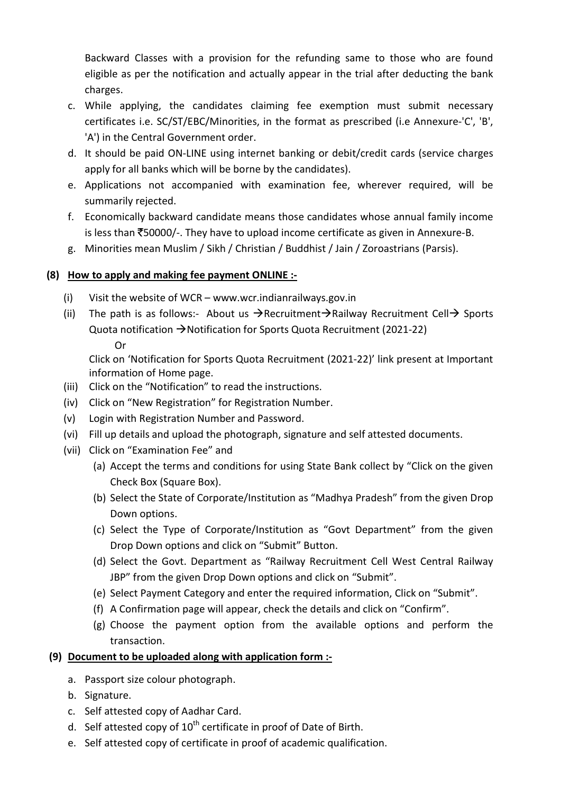Backward Classes with a provision for the refunding same to those who are found eligible as per the notification and actually appear in the trial after deducting the bank charges.

- c. While applying, the candidates claiming fee exemption must submit necessary certificates i.e. SC/ST/EBC/Minorities, in the format as prescribed (i.e Annexure-'C', 'B', 'A') in the Central Government order.
- d. It should be paid ON-LINE using internet banking or debit/credit cards (service charges apply for all banks which will be borne by the candidates).
- e. Applications not accompanied with examination fee, wherever required, will be summarily rejected.
- f. Economically backward candidate means those candidates whose annual family income is less than  $\overline{5}50000/$ -. They have to upload income certificate as given in Annexure-B.
- g. Minorities mean Muslim / Sikh / Christian / Buddhist / Jain / Zoroastrians (Parsis).

#### (8) How to apply and making fee payment ONLINE :-

- (i) Visit the website of WCR www.wcr.indianrailways.gov.in
- (ii) The path is as follows:- About us  $\rightarrow$  Recruitment  $\rightarrow$  Railway Recruitment Cell  $\rightarrow$  Sports Quota notification  $\rightarrow$  Notification for Sports Quota Recruitment (2021-22) Or

 Click on 'Notification for Sports Quota Recruitment (2021-22)' link present at Important information of Home page.

- (iii) Click on the "Notification" to read the instructions.
- (iv) Click on "New Registration" for Registration Number.
- (v) Login with Registration Number and Password.
- (vi) Fill up details and upload the photograph, signature and self attested documents.
- (vii) Click on "Examination Fee" and
	- (a) Accept the terms and conditions for using State Bank collect by "Click on the given Check Box (Square Box).
	- (b) Select the State of Corporate/Institution as "Madhya Pradesh" from the given Drop Down options.
	- (c) Select the Type of Corporate/Institution as "Govt Department" from the given Drop Down options and click on "Submit" Button.
	- (d) Select the Govt. Department as "Railway Recruitment Cell West Central Railway JBP" from the given Drop Down options and click on "Submit".
	- (e) Select Payment Category and enter the required information, Click on "Submit".
	- (f) A Confirmation page will appear, check the details and click on "Confirm".
	- (g) Choose the payment option from the available options and perform the transaction.

#### (9) Document to be uploaded along with application form :-

- a. Passport size colour photograph.
- b. Signature.
- c. Self attested copy of Aadhar Card.
- d. Self attested copy of  $10^{th}$  certificate in proof of Date of Birth.
- e. Self attested copy of certificate in proof of academic qualification.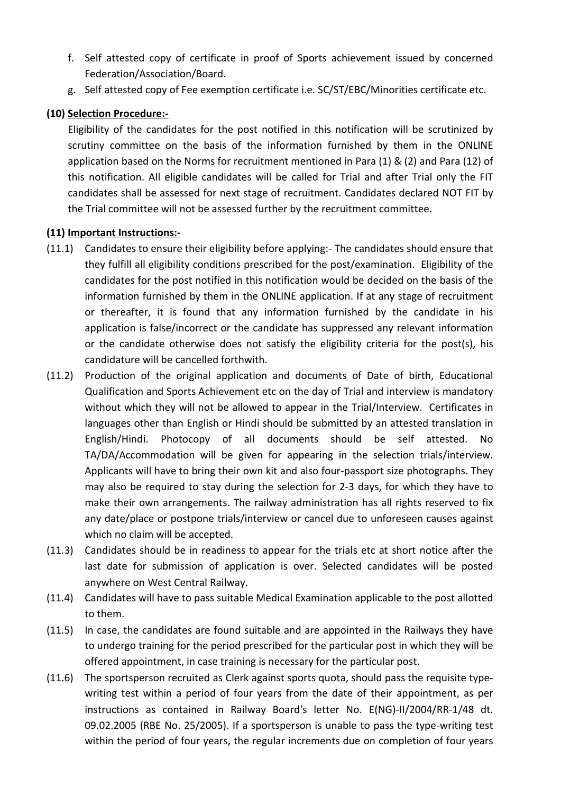- f. Self attested copy of certificate in proof of Sports achievement issued by concerned Federation/Association/Board.
- g. Self attested copy of Fee exemption certificate i.e. SC/ST/EBC/Minorities certificate etc.

#### (10) Selection Procedure:-

Eligibility of the candidates for the post notified in this notification will be scrutinized by scrutiny committee on the basis of the information furnished by them in the ONLINE application based on the Norms for recruitment mentioned in Para (1) & (2) and Para (12) of this notification. All eligible candidates will be called for Trial and after Trial only the FIT candidates shall be assessed for next stage of recruitment. Candidates declared NOT FIT by the Trial committee will not be assessed further by the recruitment committee.

#### (11) Important Instructions:-

- (11.1) Candidates to ensure their eligibility before applying:- The candidates should ensure that they fulfill all eligibility conditions prescribed for the post/examination. Eligibility of the candidates for the post notified in this notification would be decided on the basis of the information furnished by them in the ONLINE application. If at any stage of recruitment or thereafter, it is found that any information furnished by the candidate in his application is false/incorrect or the candidate has suppressed any relevant information or the candidate otherwise does not satisfy the eligibility criteria for the post(s), his candidature will be cancelled forthwith.
- (11.2) Production of the original application and documents of Date of birth, Educational Qualification and Sports Achievement etc on the day of Trial and interview is mandatory without which they will not be allowed to appear in the Trial/Interview. Certificates in languages other than English or Hindi should be submitted by an attested translation in English/Hindi. Photocopy of all documents should be self attested. No TA/DA/Accommodation will be given for appearing in the selection trials/interview. Applicants will have to bring their own kit and also four-passport size photographs. They may also be required to stay during the selection for 2-3 days, for which they have to make their own arrangements. The railway administration has all rights reserved to fix any date/place or postpone trials/interview or cancel due to unforeseen causes against which no claim will be accepted.
- (11.3) Candidates should be in readiness to appear for the trials etc at short notice after the last date for submission of application is over. Selected candidates will be posted anywhere on West Central Railway.
- (11.4) Candidates will have to pass suitable Medical Examination applicable to the post allotted to them.
- (11.5) In case, the candidates are found suitable and are appointed in the Railways they have to undergo training for the period prescribed for the particular post in which they will be offered appointment, in case training is necessary for the particular post.
- (11.6) The sportsperson recruited as Clerk against sports quota, should pass the requisite typewriting test within a period of four years from the date of their appointment, as per instructions as contained in Railway Board's letter No. E(NG)-II/2004/RR-1/48 dt. 09.02.2005 (RBE No. 25/2005). If a sportsperson is unable to pass the type-writing test within the period of four years, the regular increments due on completion of four years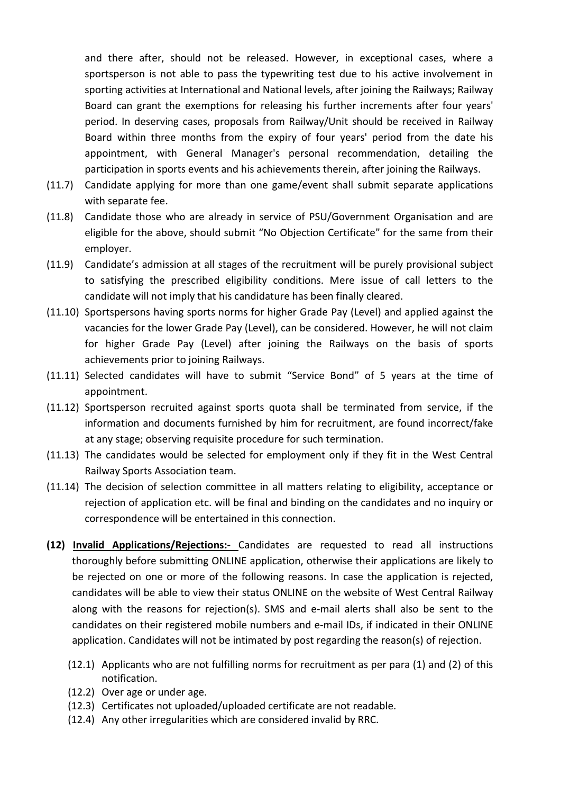and there after, should not be released. However, in exceptional cases, where a sportsperson is not able to pass the typewriting test due to his active involvement in sporting activities at International and National levels, after joining the Railways; Railway Board can grant the exemptions for releasing his further increments after four years' period. In deserving cases, proposals from Railway/Unit should be received in Railway Board within three months from the expiry of four years' period from the date his appointment, with General Manager's personal recommendation, detailing the participation in sports events and his achievements therein, after joining the Railways.

- (11.7) Candidate applying for more than one game/event shall submit separate applications with separate fee.
- (11.8) Candidate those who are already in service of PSU/Government Organisation and are eligible for the above, should submit "No Objection Certificate" for the same from their employer.
- (11.9) Candidate's admission at all stages of the recruitment will be purely provisional subject to satisfying the prescribed eligibility conditions. Mere issue of call letters to the candidate will not imply that his candidature has been finally cleared.
- (11.10) Sportspersons having sports norms for higher Grade Pay (Level) and applied against the vacancies for the lower Grade Pay (Level), can be considered. However, he will not claim for higher Grade Pay (Level) after joining the Railways on the basis of sports achievements prior to joining Railways.
- (11.11) Selected candidates will have to submit "Service Bond" of 5 years at the time of appointment.
- (11.12) Sportsperson recruited against sports quota shall be terminated from service, if the information and documents furnished by him for recruitment, are found incorrect/fake at any stage; observing requisite procedure for such termination.
- (11.13) The candidates would be selected for employment only if they fit in the West Central Railway Sports Association team.
- (11.14) The decision of selection committee in all matters relating to eligibility, acceptance or rejection of application etc. will be final and binding on the candidates and no inquiry or correspondence will be entertained in this connection.
- (12) Invalid Applications/Rejections:- Candidates are requested to read all instructions thoroughly before submitting ONLINE application, otherwise their applications are likely to be rejected on one or more of the following reasons. In case the application is rejected, candidates will be able to view their status ONLINE on the website of West Central Railway along with the reasons for rejection(s). SMS and e-mail alerts shall also be sent to the candidates on their registered mobile numbers and e-mail IDs, if indicated in their ONLINE application. Candidates will not be intimated by post regarding the reason(s) of rejection.
	- (12.1) Applicants who are not fulfilling norms for recruitment as per para (1) and (2) of this notification.
	- (12.2) Over age or under age.
	- (12.3) Certificates not uploaded/uploaded certificate are not readable.
	- (12.4) Any other irregularities which are considered invalid by RRC.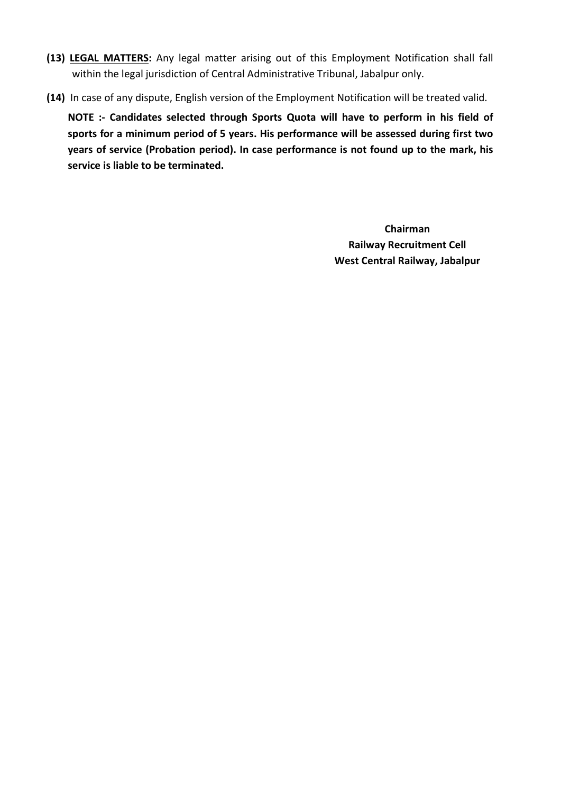- (13) LEGAL MATTERS: Any legal matter arising out of this Employment Notification shall fall within the legal jurisdiction of Central Administrative Tribunal, Jabalpur only.
- (14) In case of any dispute, English version of the Employment Notification will be treated valid.

NOTE :- Candidates selected through Sports Quota will have to perform in his field of sports for a minimum period of 5 years. His performance will be assessed during first two years of service (Probation period). In case performance is not found up to the mark, his service is liable to be terminated.

> Chairman Railway Recruitment Cell West Central Railway, Jabalpur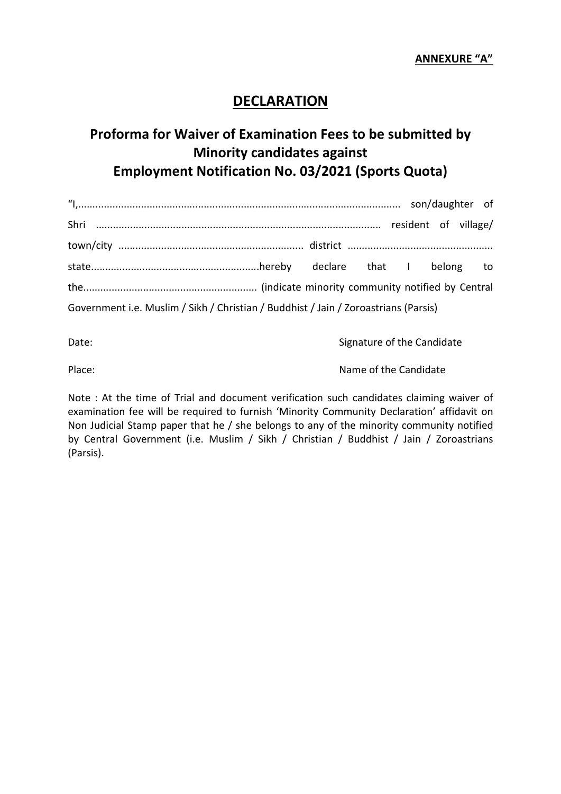## DECLARATION

## Proforma for Waiver of Examination Fees to be submitted by Minority candidates against Employment Notification No. 03/2021 (Sports Quota)

| Government i.e. Muslim / Sikh / Christian / Buddhist / Jain / Zoroastrians (Parsis) |  |  |  |
|-------------------------------------------------------------------------------------|--|--|--|

Date: Canadidate Signature of the Candidate

Place: Name of the Candidate Place:

Note : At the time of Trial and document verification such candidates claiming waiver of examination fee will be required to furnish 'Minority Community Declaration' affidavit on Non Judicial Stamp paper that he / she belongs to any of the minority community notified by Central Government (i.e. Muslim / Sikh / Christian / Buddhist / Jain / Zoroastrians (Parsis).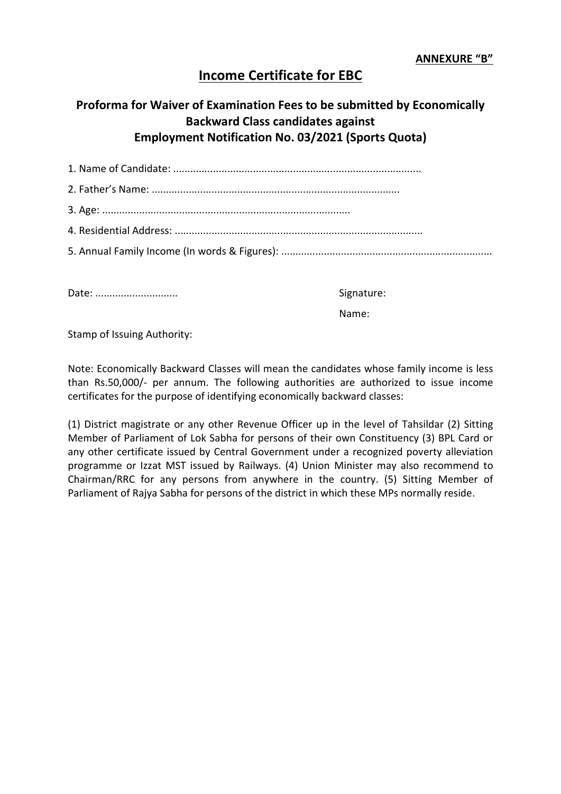## Income Certificate for EBC

## Proforma for Waiver of Examination Fees to be submitted by Economically Backward Class candidates against Employment Notification No. 03/2021 (Sports Quota)

Date: ............................. Signature:

Name:

Stamp of Issuing Authority:

Note: Economically Backward Classes will mean the candidates whose family income is less than Rs.50,000/- per annum. The following authorities are authorized to issue income certificates for the purpose of identifying economically backward classes:

(1) District magistrate or any other Revenue Officer up in the level of Tahsildar (2) Sitting Member of Parliament of Lok Sabha for persons of their own Constituency (3) BPL Card or any other certificate issued by Central Government under a recognized poverty alleviation programme or Izzat MST issued by Railways. (4) Union Minister may also recommend to Chairman/RRC for any persons from anywhere in the country. (5) Sitting Member of Parliament of Rajya Sabha for persons of the district in which these MPs normally reside.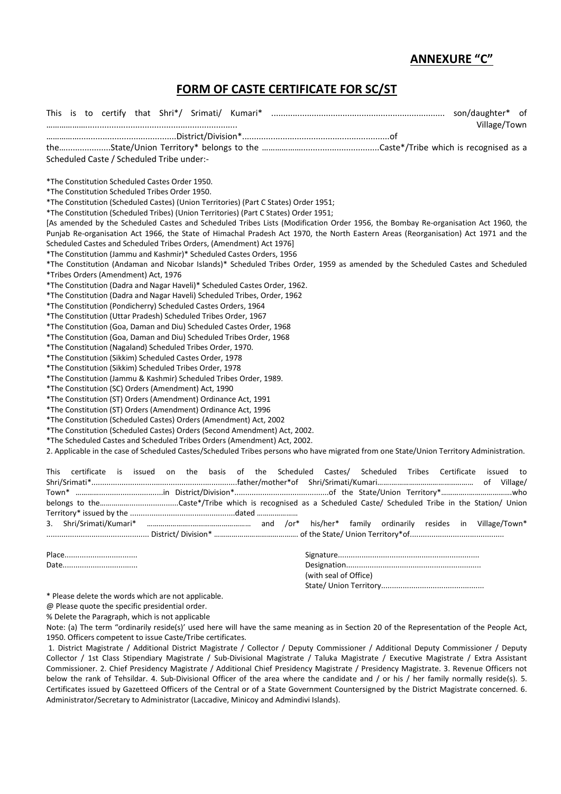#### ANNEXURE "C"

#### FORM OF CASTE CERTIFICATE FOR SC/ST

|                                                                                                                                         | Village/Town |
|-----------------------------------------------------------------------------------------------------------------------------------------|--------------|
|                                                                                                                                         |              |
|                                                                                                                                         |              |
| Scheduled Caste / Scheduled Tribe under:-                                                                                               |              |
| *The Constitution Scheduled Castes Order 1950.                                                                                          |              |
| *The Constitution Scheduled Tribes Order 1950.                                                                                          |              |
| *The Constitution (Scheduled Castes) (Union Territories) (Part C States) Order 1951;                                                    |              |
| *The Constitution (Scheduled Tribes) (Union Territories) (Part C States) Order 1951;                                                    |              |
| [As amended by the Scheduled Castes and Scheduled Tribes Lists (Modification Order 1956, the Bombay Re-organisation Act 1960, the       |              |
| Punjab Re-organisation Act 1966, the State of Himachal Pradesh Act 1970, the North Eastern Areas (Reorganisation) Act 1971 and the      |              |
| Scheduled Castes and Scheduled Tribes Orders, (Amendment) Act 1976]                                                                     |              |
| *The Constitution (Jammu and Kashmir)* Scheduled Castes Orders, 1956                                                                    |              |
| *The Constitution (Andaman and Nicobar Islands)* Scheduled Tribes Order, 1959 as amended by the Scheduled Castes and Scheduled          |              |
| *Tribes Orders (Amendment) Act, 1976                                                                                                    |              |
| *The Constitution (Dadra and Nagar Haveli)* Scheduled Castes Order, 1962.                                                               |              |
| *The Constitution (Dadra and Nagar Haveli) Scheduled Tribes, Order, 1962                                                                |              |
| *The Constitution (Pondicherry) Scheduled Castes Orders, 1964                                                                           |              |
| *The Constitution (Uttar Pradesh) Scheduled Tribes Order, 1967                                                                          |              |
| *The Constitution (Goa, Daman and Diu) Scheduled Castes Order, 1968                                                                     |              |
| *The Constitution (Goa, Daman and Diu) Scheduled Tribes Order, 1968                                                                     |              |
| *The Constitution (Nagaland) Scheduled Tribes Order, 1970.                                                                              |              |
| *The Constitution (Sikkim) Scheduled Castes Order, 1978                                                                                 |              |
| *The Constitution (Sikkim) Scheduled Tribes Order, 1978                                                                                 |              |
| *The Constitution (Jammu & Kashmir) Scheduled Tribes Order, 1989.                                                                       |              |
| *The Constitution (SC) Orders (Amendment) Act, 1990                                                                                     |              |
| *The Constitution (ST) Orders (Amendment) Ordinance Act, 1991                                                                           |              |
| *The Constitution (ST) Orders (Amendment) Ordinance Act, 1996                                                                           |              |
| *The Constitution (Scheduled Castes) Orders (Amendment) Act, 2002                                                                       |              |
| *The Constitution (Scheduled Castes) Orders (Second Amendment) Act, 2002.                                                               |              |
| *The Scheduled Castes and Scheduled Tribes Orders (Amendment) Act, 2002.                                                                |              |
| 2. Applicable in the case of Scheduled Castes/Scheduled Tribes persons who have migrated from one State/Union Territory Administration. |              |
| certificate is<br>Scheduled Tribes Certificate issued<br>issued<br>on the basis<br>Castes/<br>This<br>of the<br>Scheduled               | to           |
|                                                                                                                                         |              |
|                                                                                                                                         |              |
|                                                                                                                                         |              |
| 3.                                                                                                                                      |              |
|                                                                                                                                         |              |
|                                                                                                                                         |              |

Date................................... Designation...............................................................

| (with seal of Office) |
|-----------------------|
|                       |

\* Please delete the words which are not applicable.

@ Please quote the specific presidential order.

% Delete the Paragraph, which is not applicable

Note: (a) The term "ordinarily reside(s)' used here will have the same meaning as in Section 20 of the Representation of the People Act, 1950. Officers competent to issue Caste/Tribe certificates.

 1. District Magistrate / Additional District Magistrate / Collector / Deputy Commissioner / Additional Deputy Commissioner / Deputy Collector / 1st Class Stipendiary Magistrate / Sub-Divisional Magistrate / Taluka Magistrate / Executive Magistrate / Extra Assistant Commissioner. 2. Chief Presidency Magistrate / Additional Chief Presidency Magistrate / Presidency Magistrate. 3. Revenue Officers not below the rank of Tehsildar. 4. Sub-Divisional Officer of the area where the candidate and / or his / her family normally reside(s). 5. Certificates issued by Gazetteed Officers of the Central or of a State Government Countersigned by the District Magistrate concerned. 6. Administrator/Secretary to Administrator (Laccadive, Minicoy and Admindivi Islands).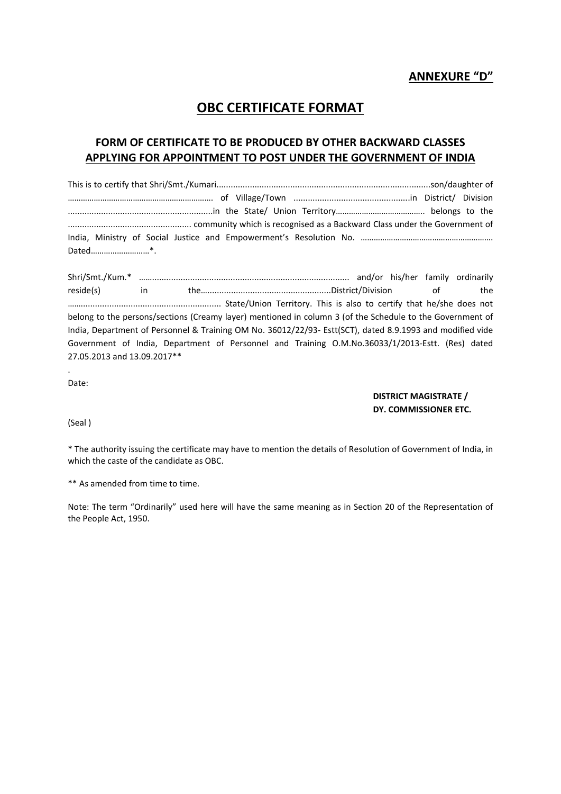#### ANNEXURE "D"

## OBC CERTIFICATE FORMAT

#### FORM OF CERTIFICATE TO BE PRODUCED BY OTHER BACKWARD CLASSES APPLYING FOR APPOINTMENT TO POST UNDER THE GOVERNMENT OF INDIA

Shri/Smt./Kum.\* ……................................................................................... and/or his/her family ordinarily reside(s) in the…....................................................District/Division of the ……........................................................... State/Union Territory. This is also to certify that he/she does not belong to the persons/sections (Creamy layer) mentioned in column 3 (of the Schedule to the Government of India, Department of Personnel & Training OM No. 36012/22/93- Estt(SCT), dated 8.9.1993 and modified vide Government of India, Department of Personnel and Training O.M.No.36033/1/2013-Estt. (Res) dated 27.05.2013 and 13.09.2017\*\*

Date:

.

DISTRICT MAGISTRATE / DY. COMMISSIONER ETC.

(Seal )

\* The authority issuing the certificate may have to mention the details of Resolution of Government of India, in which the caste of the candidate as OBC.

\*\* As amended from time to time.

Note: The term "Ordinarily" used here will have the same meaning as in Section 20 of the Representation of the People Act, 1950.